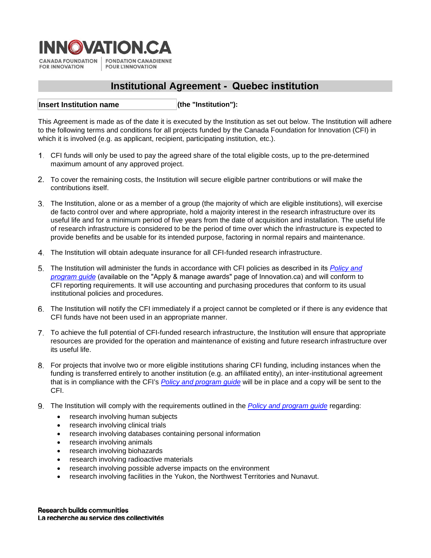

**FOR INNOVATION POUR L'INNOVATION** 

# **Institutional Agreement - Quebec institution**

**(the "Institution"): Insert Institution name**

This Agreement is made as of the date it is executed by the Institution as set out below. The Institution will adhere to the following terms and conditions for all projects funded by the Canada Foundation for Innovation (CFI) in which it is involved (e.g. as applicant, recipient, participating institution, etc.).

- CFI funds will only be used to pay the agreed share of the total eligible costs, up to the pre-determined maximum amount of any approved project.
- To cover the remaining costs, the Institution will secure eligible partner contributions or will make the contributions itself.
- The Institution, alone or as a member of a group (the majority of which are eligible institutions), will exercise de facto control over and where appropriate, hold a majority interest in the research infrastructure over its useful life and for a minimum period of five years from the date of acquisition and installation. The useful life of research infrastructure is considered to be the period of time over which the infrastructure is expected to provide benefits and be usable for its intended purpose, factoring in normal repairs and maintenance.
- The Institution will obtain adequate insurance for all CFI-funded research infrastructure.
- The Institution will administer the funds in accordance with CFI policies as described in its *[Policy](https://www.innovation.ca/apply-manage-awards/resources-apply-manage-award) and [program guide](https://www.innovation.ca/awards)* (available on the "Apply & manage awards" page of Innovation.ca) and will conform to CFI reporting requirements. It will use accounting and purchasing procedures that conform to its usual institutional policies and procedures.
- The Institution will notify the CFI immediately if a project cannot be completed or if there is any evidence that CFI funds have not been used in an appropriate manner.
- To achieve the full potential of CFI-funded research infrastructure, the Institution will ensure that appropriate resources are provided for the operation and maintenance of existing and future research infrastructure over its useful life.
- For projects that involve two or more eligible institutions sharing CFI funding, including instances when the funding is transferred entirely to another institution (e.g. an affiliated entity), an inter-institutional agreement that is in compliance with the CFI's *[Policy and program guide](https://www.innovation.ca/apply-manage-awards/resources-apply-manage-award)* will be in place and a copy will be sent to the CFI.
- The Institution will comply with the requirements outlined in the *[Policy and program guide](https://www.innovation.ca/apply-manage-awards/resources-apply-manage-award)* regarding:
	- research involving human subjects
	- research involving clinical trials
	- research involving databases containing personal information
	- research involving animals
	- research involving biohazards
	- research involving radioactive materials
	- research involving possible adverse impacts on the environment
	- research involving facilities in the Yukon, the Northwest Territories and Nunavut.

**Research builds communities** La recherche au service des collectivités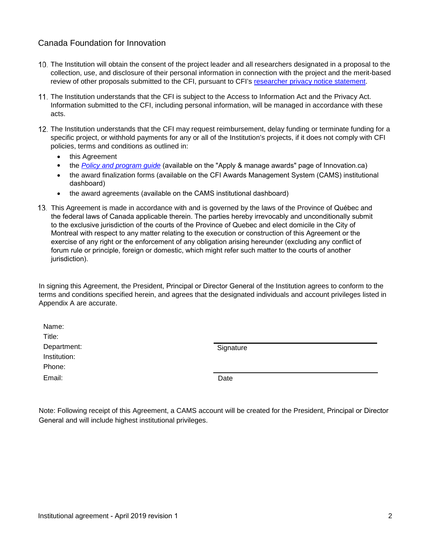## Canada Foundation for Innovation

- The Institution will obtain the consent of the project leader and all researchers designated in a proposal to the collection, use, and disclosure of their personal information in connection with the project and the merit-based review of other proposals submitted to the CFI, pursuant to CFI's [researcher privacy notice statement.](https://www.innovation.ca/access-information-privacy/privacy-notices-researchers)
- 11. The Institution understands that the CFI is subject to the Access to Information Act and the Privacy Act. Information submitted to the CFI, including personal information, will be managed in accordance with these acts.
- 12. The Institution understands that the CFI may request reimbursement, delay funding or terminate funding for a specific project, or withhold payments for any or all of the Institution's projects, if it does not comply with CFI policies, terms and conditions as outlined in:
	- this Agreement
	- the *[Policy and program guide](https://www.innovation.ca/apply-manage-awards/resources-apply-manage-award)* (available on the "Apply & manage awards" page of Innovation.ca)
	- the award finalization forms (available on the CFI Awards Management System (CAMS) institutional dashboard)
	- the award agreements (available on the CAMS institutional dashboard)
- This Agreement is made in accordance with and is governed by the laws of the Province of Québec and the federal laws of Canada applicable therein. The parties hereby irrevocably and unconditionally submit to the exclusive jurisdiction of the courts of the Province of Quebec and elect domicile in the City of Montreal with respect to any matter relating to the execution or construction of this Agreement or the exercise of any right or the enforcement of any obligation arising hereunder (excluding any conflict of forum rule or principle, foreign or domestic, which might refer such matter to the courts of another jurisdiction).

In signing this Agreement, the President, Principal or Director General of the Institution agrees to conform to the terms and conditions specified herein, and agrees that the designated individuals and account privileges listed in Appendix A are accurate.

| Name:        |       |
|--------------|-------|
| Title:       |       |
| Department:  | Signa |
| Institution: |       |
| Phone:       |       |
| Email:       | Date  |

Signature

Note: Following receipt of this Agreement, a CAMS account will be created for the President, Principal or Director General and will include highest institutional privileges.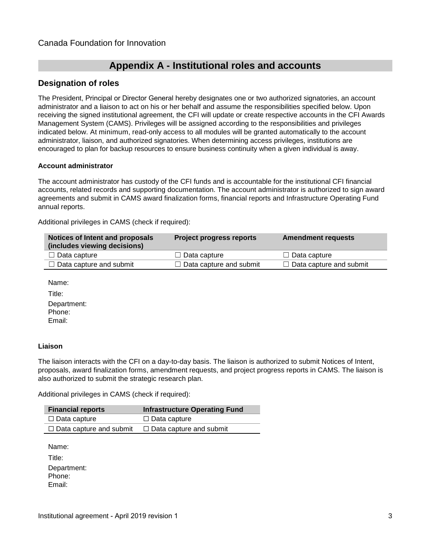# **Appendix A - Institutional roles and accounts**

## **Designation of roles**

The President, Principal or Director General hereby designates one or two authorized signatories, an account administrator and a liaison to act on his or her behalf and assume the responsibilities specified below. Upon receiving the signed institutional agreement, the CFI will update or create respective accounts in the CFI Awards Management System (CAMS). Privileges will be assigned according to the responsibilities and privileges indicated below. At minimum, read-only access to all modules will be granted automatically to the account administrator, liaison, and authorized signatories. When determining access privileges, institutions are encouraged to plan for backup resources to ensure business continuity when a given individual is away.

#### **Account administrator**

The account administrator has custody of the CFI funds and is accountable for the institutional CFI financial accounts, related records and supporting documentation. The account administrator is authorized to sign award agreements and submit in CAMS award finalization forms, financial reports and Infrastructure Operating Fund annual reports.

Additional privileges in CAMS (check if required):

| Notices of Intent and proposals<br>(includes viewing decisions) | <b>Project progress reports</b> | <b>Amendment requests</b>      |
|-----------------------------------------------------------------|---------------------------------|--------------------------------|
| $\Box$ Data capture                                             | $\Box$ Data capture             | $\Box$ Data capture            |
| $\Box$ Data capture and submit                                  | $\Box$ Data capture and submit  | $\Box$ Data capture and submit |

Name:

Title: Department: Phone: Email:

#### **Liaison**

The liaison interacts with the CFI on a day-to-day basis. The liaison is authorized to submit Notices of Intent, proposals, award finalization forms, amendment requests, and project progress reports in CAMS. The liaison is also authorized to submit the strategic research plan.

Additional privileges in CAMS (check if required):

| <b>Financial reports</b>       | <b>Infrastructure Operating Fund</b> |
|--------------------------------|--------------------------------------|
| □ Data capture                 | $\Box$ Data capture                  |
| $\Box$ Data capture and submit | $\Box$ Data capture and submit       |

Name:

Title: Department: Phone: Email: